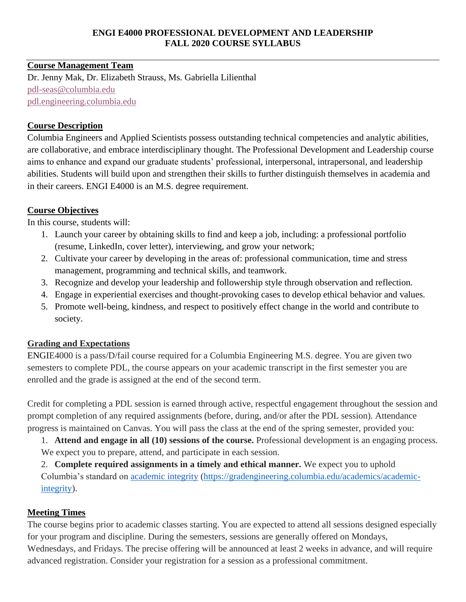#### **ENGI E4000 PROFESSIONAL DEVELOPMENT AND LEADERSHIP FALL 2020 COURSE SYLLABUS**

### **Course Management Team**

Dr. Jenny Mak, Dr. Elizabeth Strauss, Ms. Gabriella Lilienthal [pdl-seas@columbia.edu](mailto:pdl-seas@columbia.edu) [pdl.engineering.columbia.edu](https://pdl.engineering.columbia.edu/)

### **Course Description**

Columbia Engineers and Applied Scientists possess outstanding technical competencies and analytic abilities, are collaborative, and embrace interdisciplinary thought. The Professional Development and Leadership course aims to enhance and expand our graduate students' professional, interpersonal, intrapersonal, and leadership abilities. Students will build upon and strengthen their skills to further distinguish themselves in academia and in their careers. ENGI E4000 is an M.S. degree requirement.

### **Course Objectives**

In this course, students will:

- 1. Launch your career by obtaining skills to find and keep a job, including: a professional portfolio (resume, LinkedIn, cover letter), interviewing, and grow your network;
- 2. Cultivate your career by developing in the areas of: professional communication, time and stress management, programming and technical skills, and teamwork.
- 3. Recognize and develop your leadership and followership style through observation and reflection.
- 4. Engage in experiential exercises and thought-provoking cases to develop ethical behavior and values.
- 5. Promote well-being, kindness, and respect to positively effect change in the world and contribute to society.

# **Grading and Expectations**

ENGIE4000 is a pass/D/fail course required for a Columbia Engineering M.S. degree. You are given two semesters to complete PDL, the course appears on your academic transcript in the first semester you are enrolled and the grade is assigned at the end of the second term.

Credit for completing a PDL session is earned through active, respectful engagement throughout the session and prompt completion of any required assignments (before, during, and/or after the PDL session). Attendance progress is maintained on Canvas. You will pass the class at the end of the spring semester, provided you:

1. **Attend and engage in all (10) sessions of the course.** Professional development is an engaging process. We expect you to prepare, attend, and participate in each session.

2. **Complete required assignments in a timely and ethical manner.** We expect you to uphold Columbia's standard o[n](https://gradengineering.columbia.edu/academics/academic-integrity) [academic integrity](https://gradengineering.columbia.edu/academics/academic-integrity) [\(https://gradengineering.columbia.edu/academics/academic](https://gradengineering.columbia.edu/academics/academic-integrity)[integrity\)](https://gradengineering.columbia.edu/academics/academic-integrity).

# **Meeting Times**

The course begins prior to academic classes starting. You are expected to attend all sessions designed especially for your program and discipline. During the semesters, sessions are generally offered on Mondays, Wednesdays, and Fridays. The precise offering will be announced at least 2 weeks in advance, and will require advanced registration. Consider your registration for a session as a professional commitment.